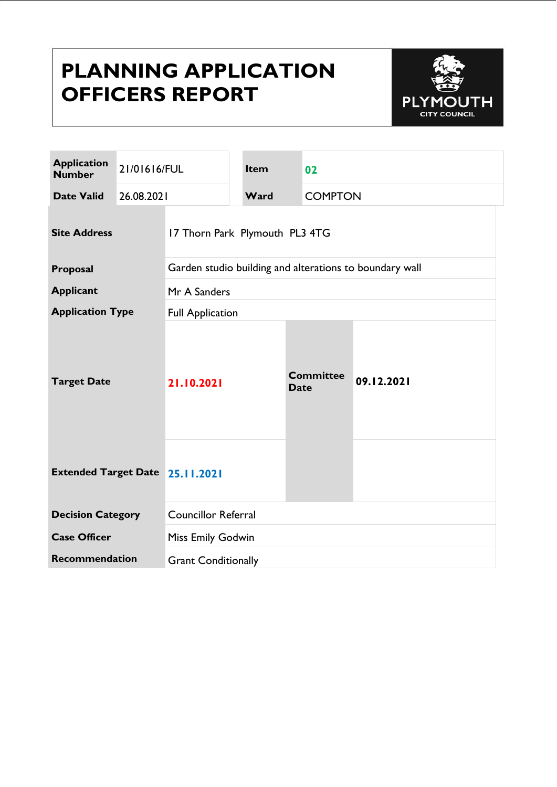# **PLANNING APPLICATION OFFICERS REPORT**



| <b>Application</b><br><b>Number</b>    | 21/01616/FUL |                                                         | Item | 02                              |                |  |
|----------------------------------------|--------------|---------------------------------------------------------|------|---------------------------------|----------------|--|
| <b>Date Valid</b>                      | 26.08.2021   |                                                         | Ward |                                 | <b>COMPTON</b> |  |
| <b>Site Address</b>                    |              | 17 Thorn Park Plymouth PL3 4TG                          |      |                                 |                |  |
| Proposal                               |              | Garden studio building and alterations to boundary wall |      |                                 |                |  |
| <b>Applicant</b>                       |              | Mr A Sanders                                            |      |                                 |                |  |
| <b>Application Type</b>                |              | <b>Full Application</b>                                 |      |                                 |                |  |
| <b>Target Date</b>                     |              | 21.10.2021                                              |      | <b>Committee</b><br><b>Date</b> | 09.12.2021     |  |
| <b>Extended Target Date 25.11.2021</b> |              |                                                         |      |                                 |                |  |
| <b>Decision Category</b>               |              | <b>Councillor Referral</b>                              |      |                                 |                |  |
| <b>Case Officer</b>                    |              | <b>Miss Emily Godwin</b>                                |      |                                 |                |  |
| Recommendation                         |              | <b>Grant Conditionally</b>                              |      |                                 |                |  |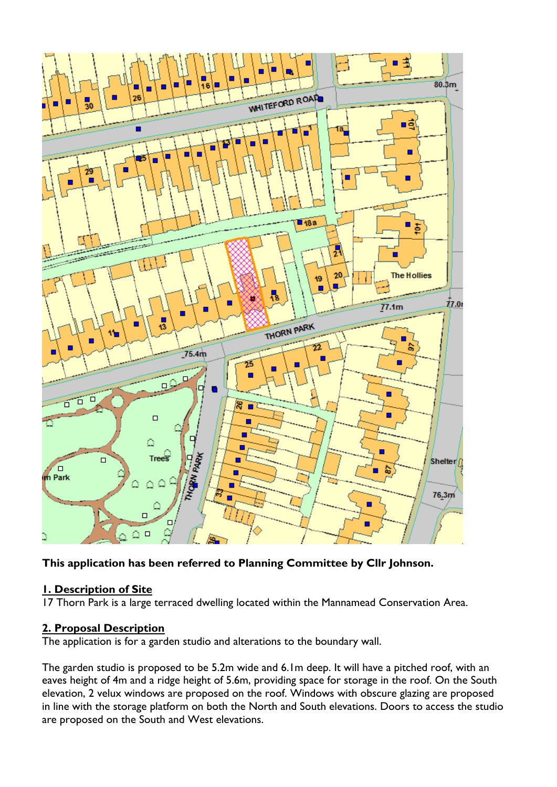

**This application has been referred to Planning Committee by Cllr Johnson.**

## **1. Description of Site**

17 Thorn Park is a large terraced dwelling located within the Mannamead Conservation Area.

#### **2. Proposal Description**

The application is for a garden studio and alterations to the boundary wall.

The garden studio is proposed to be 5.2m wide and 6.1m deep. It will have a pitched roof, with an eaves height of 4m and a ridge height of 5.6m, providing space for storage in the roof. On the South elevation, 2 velux windows are proposed on the roof. Windows with obscure glazing are proposed in line with the storage platform on both the North and South elevations. Doors to access the studio are proposed on the South and West elevations.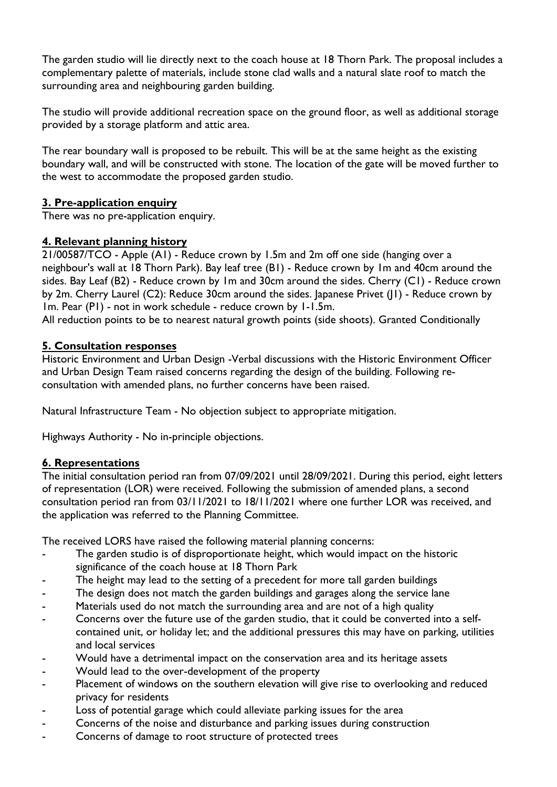The garden studio will lie directly next to the coach house at 18 Thorn Park. The proposal includes a complementary palette of materials, include stone clad walls and a natural slate roof to match the surrounding area and neighbouring garden building.

The studio will provide additional recreation space on the ground floor, as well as additional storage provided by a storage platform and attic area.

The rear boundary wall is proposed to be rebuilt. This will be at the same height as the existing boundary wall, and will be constructed with stone. The location of the gate will be moved further to the west to accommodate the proposed garden studio.

# **3. Pre-application enquiry**

There was no pre-application enquiry.

# **4. Relevant planning history**

21/00587/TCO - Apple (A1) - Reduce crown by 1.5m and 2m off one side (hanging over a neighbour's wall at 18 Thorn Park). Bay leaf tree (B1) - Reduce crown by 1m and 40cm around the sides. Bay Leaf (B2) - Reduce crown by 1m and 30cm around the sides. Cherry (C1) - Reduce crown by 2m. Cherry Laurel (C2): Reduce 30cm around the sides. Japanese Privet (J1) - Reduce crown by 1m. Pear (P1) - not in work schedule - reduce crown by 1-1.5m.

All reduction points to be to nearest natural growth points (side shoots). Granted Conditionally

## **5. Consultation responses**

Historic Environment and Urban Design -Verbal discussions with the Historic Environment Officer and Urban Design Team raised concerns regarding the design of the building. Following reconsultation with amended plans, no further concerns have been raised.

Natural Infrastructure Team - No objection subject to appropriate mitigation.

Highways Authority - No in-principle objections.

## **6. Representations**

The initial consultation period ran from 07/09/2021 until 28/09/2021. During this period, eight letters of representation (LOR) were received. Following the submission of amended plans, a second consultation period ran from 03/11/2021 to 18/11/2021 where one further LOR was received, and the application was referred to the Planning Committee.

The received LORS have raised the following material planning concerns:

- The garden studio is of disproportionate height, which would impact on the historic significance of the coach house at 18 Thorn Park
- The height may lead to the setting of a precedent for more tall garden buildings
- The design does not match the garden buildings and garages along the service lane
- Materials used do not match the surrounding area and are not of a high quality
- Concerns over the future use of the garden studio, that it could be converted into a selfcontained unit, or holiday let; and the additional pressures this may have on parking, utilities and local services
- Would have a detrimental impact on the conservation area and its heritage assets
- Would lead to the over-development of the property
- Placement of windows on the southern elevation will give rise to overlooking and reduced privacy for residents
- Loss of potential garage which could alleviate parking issues for the area
- Concerns of the noise and disturbance and parking issues during construction
- Concerns of damage to root structure of protected trees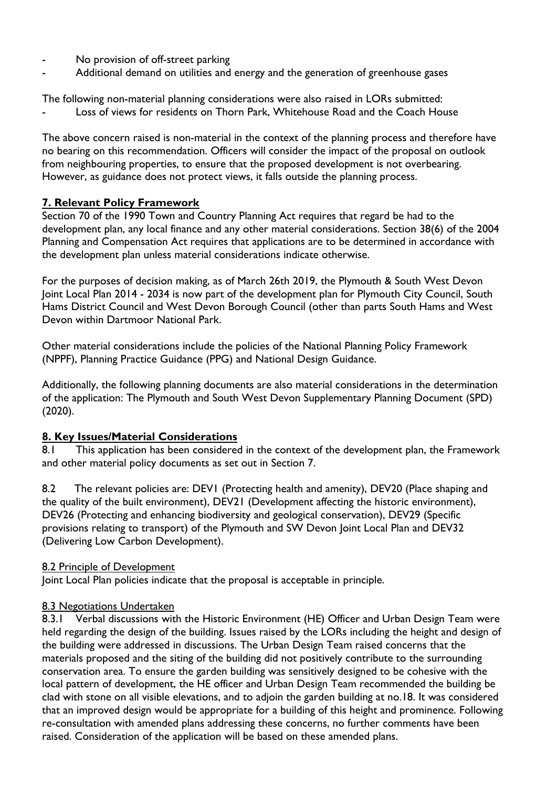- No provision of off-street parking
- Additional demand on utilities and energy and the generation of greenhouse gases

The following non-material planning considerations were also raised in LORs submitted:

Loss of views for residents on Thorn Park, Whitehouse Road and the Coach House

The above concern raised is non-material in the context of the planning process and therefore have no bearing on this recommendation. Officers will consider the impact of the proposal on outlook from neighbouring properties, to ensure that the proposed development is not overbearing. However, as guidance does not protect views, it falls outside the planning process.

# **7. Relevant Policy Framework**

Section 70 of the 1990 Town and Country Planning Act requires that regard be had to the development plan, any local finance and any other material considerations. Section 38(6) of the 2004 Planning and Compensation Act requires that applications are to be determined in accordance with the development plan unless material considerations indicate otherwise.

For the purposes of decision making, as of March 26th 2019, the Plymouth & South West Devon Joint Local Plan 2014 - 2034 is now part of the development plan for Plymouth City Council, South Hams District Council and West Devon Borough Council (other than parts South Hams and West Devon within Dartmoor National Park.

Other material considerations include the policies of the National Planning Policy Framework (NPPF), Planning Practice Guidance (PPG) and National Design Guidance.

Additionally, the following planning documents are also material considerations in the determination of the application: The Plymouth and South West Devon Supplementary Planning Document (SPD) (2020).

## **8. Key Issues/Material Considerations**

8.1 This application has been considered in the context of the development plan, the Framework and other material policy documents as set out in Section 7.

8.2 The relevant policies are: DEVI (Protecting health and amenity), DEV20 (Place shaping and the quality of the built environment), DEV21 (Development affecting the historic environment), DEV26 (Protecting and enhancing biodiversity and geological conservation), DEV29 (Specific provisions relating to transport) of the Plymouth and SW Devon Joint Local Plan and DEV32 (Delivering Low Carbon Development).

## 8.2 Principle of Development

Joint Local Plan policies indicate that the proposal is acceptable in principle.

## 8.3 Negotiations Undertaken

8.3.1 Verbal discussions with the Historic Environment (HE) Officer and Urban Design Team were held regarding the design of the building. Issues raised by the LORs including the height and design of the building were addressed in discussions. The Urban Design Team raised concerns that the materials proposed and the siting of the building did not positively contribute to the surrounding conservation area. To ensure the garden building was sensitively designed to be cohesive with the local pattern of development, the HE officer and Urban Design Team recommended the building be clad with stone on all visible elevations, and to adjoin the garden building at no.18. It was considered that an improved design would be appropriate for a building of this height and prominence. Following re-consultation with amended plans addressing these concerns, no further comments have been raised. Consideration of the application will be based on these amended plans.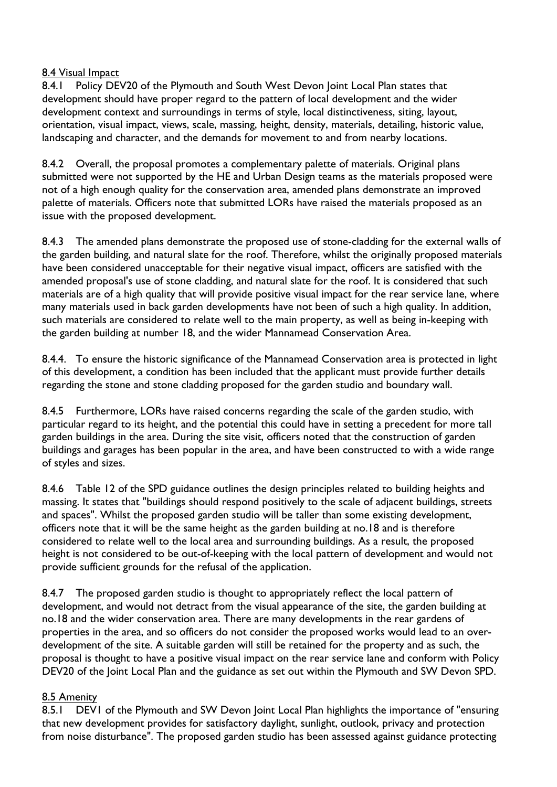#### 8.4 Visual Impact

8.4.1 Policy DEV20 of the Plymouth and South West Devon Joint Local Plan states that development should have proper regard to the pattern of local development and the wider development context and surroundings in terms of style, local distinctiveness, siting, layout, orientation, visual impact, views, scale, massing, height, density, materials, detailing, historic value, landscaping and character, and the demands for movement to and from nearby locations.

8.4.2 Overall, the proposal promotes a complementary palette of materials. Original plans submitted were not supported by the HE and Urban Design teams as the materials proposed were not of a high enough quality for the conservation area, amended plans demonstrate an improved palette of materials. Officers note that submitted LORs have raised the materials proposed as an issue with the proposed development.

8.4.3 The amended plans demonstrate the proposed use of stone-cladding for the external walls of the garden building, and natural slate for the roof. Therefore, whilst the originally proposed materials have been considered unacceptable for their negative visual impact, officers are satisfied with the amended proposal's use of stone cladding, and natural slate for the roof. It is considered that such materials are of a high quality that will provide positive visual impact for the rear service lane, where many materials used in back garden developments have not been of such a high quality. In addition, such materials are considered to relate well to the main property, as well as being in-keeping with the garden building at number 18, and the wider Mannamead Conservation Area.

8.4.4. To ensure the historic significance of the Mannamead Conservation area is protected in light of this development, a condition has been included that the applicant must provide further details regarding the stone and stone cladding proposed for the garden studio and boundary wall.

8.4.5 Furthermore, LORs have raised concerns regarding the scale of the garden studio, with particular regard to its height, and the potential this could have in setting a precedent for more tall garden buildings in the area. During the site visit, officers noted that the construction of garden buildings and garages has been popular in the area, and have been constructed to with a wide range of styles and sizes.

8.4.6 Table 12 of the SPD guidance outlines the design principles related to building heights and massing. It states that "buildings should respond positively to the scale of adjacent buildings, streets and spaces". Whilst the proposed garden studio will be taller than some existing development, officers note that it will be the same height as the garden building at no.18 and is therefore considered to relate well to the local area and surrounding buildings. As a result, the proposed height is not considered to be out-of-keeping with the local pattern of development and would not provide sufficient grounds for the refusal of the application.

8.4.7 The proposed garden studio is thought to appropriately reflect the local pattern of development, and would not detract from the visual appearance of the site, the garden building at no.18 and the wider conservation area. There are many developments in the rear gardens of properties in the area, and so officers do not consider the proposed works would lead to an overdevelopment of the site. A suitable garden will still be retained for the property and as such, the proposal is thought to have a positive visual impact on the rear service lane and conform with Policy DEV20 of the Joint Local Plan and the guidance as set out within the Plymouth and SW Devon SPD.

#### 8.5 Amenity

8.5.1 DEVI of the Plymouth and SW Devon Joint Local Plan highlights the importance of "ensuring" that new development provides for satisfactory daylight, sunlight, outlook, privacy and protection from noise disturbance". The proposed garden studio has been assessed against guidance protecting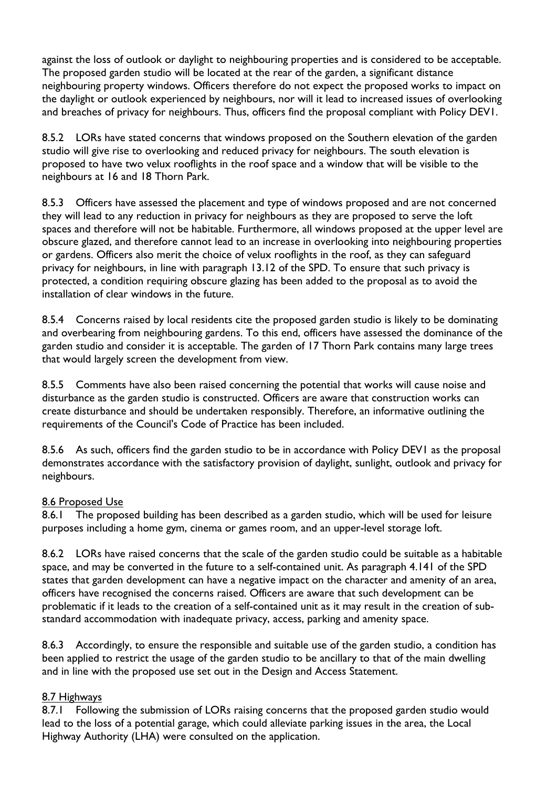against the loss of outlook or daylight to neighbouring properties and is considered to be acceptable. The proposed garden studio will be located at the rear of the garden, a significant distance neighbouring property windows. Officers therefore do not expect the proposed works to impact on the daylight or outlook experienced by neighbours, nor will it lead to increased issues of overlooking and breaches of privacy for neighbours. Thus, officers find the proposal compliant with Policy DEV1.

8.5.2 LORs have stated concerns that windows proposed on the Southern elevation of the garden studio will give rise to overlooking and reduced privacy for neighbours. The south elevation is proposed to have two velux rooflights in the roof space and a window that will be visible to the neighbours at 16 and 18 Thorn Park.

8.5.3 Officers have assessed the placement and type of windows proposed and are not concerned they will lead to any reduction in privacy for neighbours as they are proposed to serve the loft spaces and therefore will not be habitable. Furthermore, all windows proposed at the upper level are obscure glazed, and therefore cannot lead to an increase in overlooking into neighbouring properties or gardens. Officers also merit the choice of velux rooflights in the roof, as they can safeguard privacy for neighbours, in line with paragraph 13.12 of the SPD. To ensure that such privacy is protected, a condition requiring obscure glazing has been added to the proposal as to avoid the installation of clear windows in the future.

8.5.4 Concerns raised by local residents cite the proposed garden studio is likely to be dominating and overbearing from neighbouring gardens. To this end, officers have assessed the dominance of the garden studio and consider it is acceptable. The garden of 17 Thorn Park contains many large trees that would largely screen the development from view.

8.5.5 Comments have also been raised concerning the potential that works will cause noise and disturbance as the garden studio is constructed. Officers are aware that construction works can create disturbance and should be undertaken responsibly. Therefore, an informative outlining the requirements of the Council's Code of Practice has been included.

8.5.6 As such, officers find the garden studio to be in accordance with Policy DEVI as the proposal demonstrates accordance with the satisfactory provision of daylight, sunlight, outlook and privacy for neighbours.

#### 8.6 Proposed Use

8.6.1 The proposed building has been described as a garden studio, which will be used for leisure purposes including a home gym, cinema or games room, and an upper-level storage loft.

8.6.2 LORs have raised concerns that the scale of the garden studio could be suitable as a habitable space, and may be converted in the future to a self-contained unit. As paragraph 4.141 of the SPD states that garden development can have a negative impact on the character and amenity of an area, officers have recognised the concerns raised. Officers are aware that such development can be problematic if it leads to the creation of a self-contained unit as it may result in the creation of substandard accommodation with inadequate privacy, access, parking and amenity space.

8.6.3 Accordingly, to ensure the responsible and suitable use of the garden studio, a condition has been applied to restrict the usage of the garden studio to be ancillary to that of the main dwelling and in line with the proposed use set out in the Design and Access Statement.

## 8.7 Highways

8.7.1 Following the submission of LORs raising concerns that the proposed garden studio would lead to the loss of a potential garage, which could alleviate parking issues in the area, the Local Highway Authority (LHA) were consulted on the application.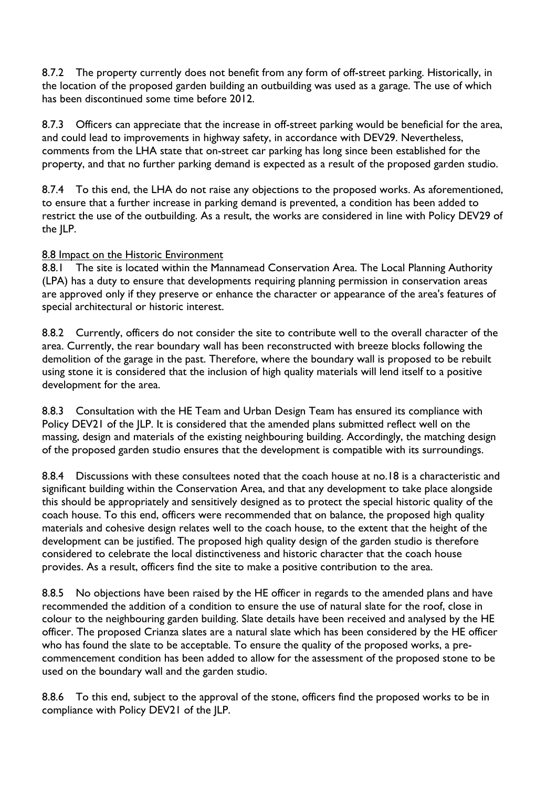8.7.2 The property currently does not benefit from any form of off-street parking. Historically, in the location of the proposed garden building an outbuilding was used as a garage. The use of which has been discontinued some time before 2012.

8.7.3 Officers can appreciate that the increase in off-street parking would be beneficial for the area, and could lead to improvements in highway safety, in accordance with DEV29. Nevertheless, comments from the LHA state that on-street car parking has long since been established for the property, and that no further parking demand is expected as a result of the proposed garden studio.

8.7.4 To this end, the LHA do not raise any objections to the proposed works. As aforementioned, to ensure that a further increase in parking demand is prevented, a condition has been added to restrict the use of the outbuilding. As a result, the works are considered in line with Policy DEV29 of the JLP.

#### 8.8 Impact on the Historic Environment

8.8.1 The site is located within the Mannamead Conservation Area. The Local Planning Authority (LPA) has a duty to ensure that developments requiring planning permission in conservation areas are approved only if they preserve or enhance the character or appearance of the area's features of special architectural or historic interest.

8.8.2 Currently, officers do not consider the site to contribute well to the overall character of the area. Currently, the rear boundary wall has been reconstructed with breeze blocks following the demolition of the garage in the past. Therefore, where the boundary wall is proposed to be rebuilt using stone it is considered that the inclusion of high quality materials will lend itself to a positive development for the area.

8.8.3 Consultation with the HE Team and Urban Design Team has ensured its compliance with Policy DEV21 of the JLP. It is considered that the amended plans submitted reflect well on the massing, design and materials of the existing neighbouring building. Accordingly, the matching design of the proposed garden studio ensures that the development is compatible with its surroundings.

8.8.4 Discussions with these consultees noted that the coach house at no.18 is a characteristic and significant building within the Conservation Area, and that any development to take place alongside this should be appropriately and sensitively designed as to protect the special historic quality of the coach house. To this end, officers were recommended that on balance, the proposed high quality materials and cohesive design relates well to the coach house, to the extent that the height of the development can be justified. The proposed high quality design of the garden studio is therefore considered to celebrate the local distinctiveness and historic character that the coach house provides. As a result, officers find the site to make a positive contribution to the area.

8.8.5 No objections have been raised by the HE officer in regards to the amended plans and have recommended the addition of a condition to ensure the use of natural slate for the roof, close in colour to the neighbouring garden building. Slate details have been received and analysed by the HE officer. The proposed Crianza slates are a natural slate which has been considered by the HE officer who has found the slate to be acceptable. To ensure the quality of the proposed works, a precommencement condition has been added to allow for the assessment of the proposed stone to be used on the boundary wall and the garden studio.

8.8.6 To this end, subject to the approval of the stone, officers find the proposed works to be in compliance with Policy DEV21 of the JLP.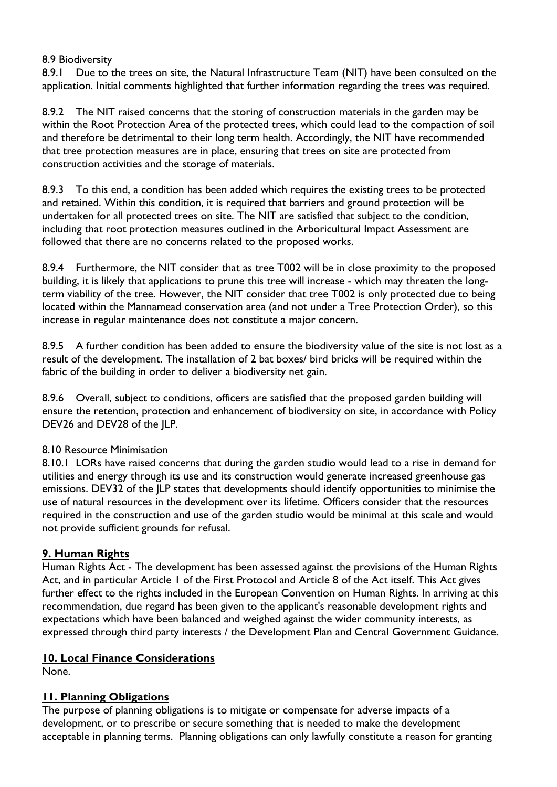#### 8.9 Biodiversity

8.9.1 Due to the trees on site, the Natural Infrastructure Team (NIT) have been consulted on the application. Initial comments highlighted that further information regarding the trees was required.

8.9.2 The NIT raised concerns that the storing of construction materials in the garden may be within the Root Protection Area of the protected trees, which could lead to the compaction of soil and therefore be detrimental to their long term health. Accordingly, the NIT have recommended that tree protection measures are in place, ensuring that trees on site are protected from construction activities and the storage of materials.

8.9.3 To this end, a condition has been added which requires the existing trees to be protected and retained. Within this condition, it is required that barriers and ground protection will be undertaken for all protected trees on site. The NIT are satisfied that subject to the condition, including that root protection measures outlined in the Arboricultural Impact Assessment are followed that there are no concerns related to the proposed works.

8.9.4 Furthermore, the NIT consider that as tree T002 will be in close proximity to the proposed building, it is likely that applications to prune this tree will increase - which may threaten the longterm viability of the tree. However, the NIT consider that tree T002 is only protected due to being located within the Mannamead conservation area (and not under a Tree Protection Order), so this increase in regular maintenance does not constitute a major concern.

8.9.5 A further condition has been added to ensure the biodiversity value of the site is not lost as a result of the development. The installation of 2 bat boxes/ bird bricks will be required within the fabric of the building in order to deliver a biodiversity net gain.

8.9.6 Overall, subject to conditions, officers are satisfied that the proposed garden building will ensure the retention, protection and enhancement of biodiversity on site, in accordance with Policy DEV26 and DEV28 of the JLP.

#### 8.10 Resource Minimisation

8.10.1 LORs have raised concerns that during the garden studio would lead to a rise in demand for utilities and energy through its use and its construction would generate increased greenhouse gas emissions. DEV32 of the JLP states that developments should identify opportunities to minimise the use of natural resources in the development over its lifetime. Officers consider that the resources required in the construction and use of the garden studio would be minimal at this scale and would not provide sufficient grounds for refusal.

#### **9. Human Rights**

Human Rights Act - The development has been assessed against the provisions of the Human Rights Act, and in particular Article 1 of the First Protocol and Article 8 of the Act itself. This Act gives further effect to the rights included in the European Convention on Human Rights. In arriving at this recommendation, due regard has been given to the applicant's reasonable development rights and expectations which have been balanced and weighed against the wider community interests, as expressed through third party interests / the Development Plan and Central Government Guidance.

#### **10. Local Finance Considerations**

None.

## **11. Planning Obligations**

The purpose of planning obligations is to mitigate or compensate for adverse impacts of a development, or to prescribe or secure something that is needed to make the development acceptable in planning terms. Planning obligations can only lawfully constitute a reason for granting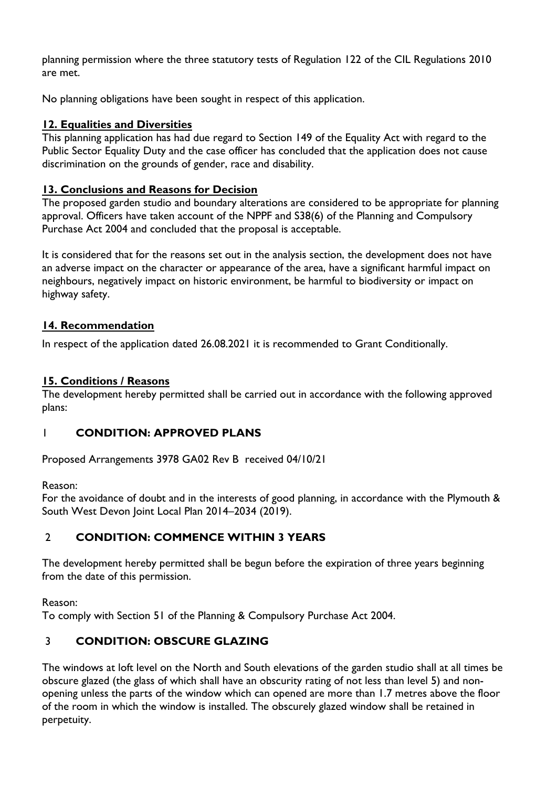planning permission where the three statutory tests of Regulation 122 of the CIL Regulations 2010 are met.

No planning obligations have been sought in respect of this application.

#### **12. Equalities and Diversities**

This planning application has had due regard to Section 149 of the Equality Act with regard to the Public Sector Equality Duty and the case officer has concluded that the application does not cause discrimination on the grounds of gender, race and disability.

#### **13. Conclusions and Reasons for Decision**

The proposed garden studio and boundary alterations are considered to be appropriate for planning approval. Officers have taken account of the NPPF and S38(6) of the Planning and Compulsory Purchase Act 2004 and concluded that the proposal is acceptable.

It is considered that for the reasons set out in the analysis section, the development does not have an adverse impact on the character or appearance of the area, have a significant harmful impact on neighbours, negatively impact on historic environment, be harmful to biodiversity or impact on highway safety.

#### **14. Recommendation**

In respect of the application dated 26.08.2021 it is recommended to Grant Conditionally.

#### **15. Conditions / Reasons**

The development hereby permitted shall be carried out in accordance with the following approved plans:

## 1 **CONDITION: APPROVED PLANS**

Proposed Arrangements 3978 GA02 Rev B received 04/10/21

Reason:

For the avoidance of doubt and in the interests of good planning, in accordance with the Plymouth & South West Devon Joint Local Plan 2014–2034 (2019).

# 2 **CONDITION: COMMENCE WITHIN 3 YEARS**

The development hereby permitted shall be begun before the expiration of three years beginning from the date of this permission.

Reason:

To comply with Section 51 of the Planning & Compulsory Purchase Act 2004.

## 3 **CONDITION: OBSCURE GLAZING**

The windows at loft level on the North and South elevations of the garden studio shall at all times be obscure glazed (the glass of which shall have an obscurity rating of not less than level 5) and nonopening unless the parts of the window which can opened are more than 1.7 metres above the floor of the room in which the window is installed. The obscurely glazed window shall be retained in perpetuity.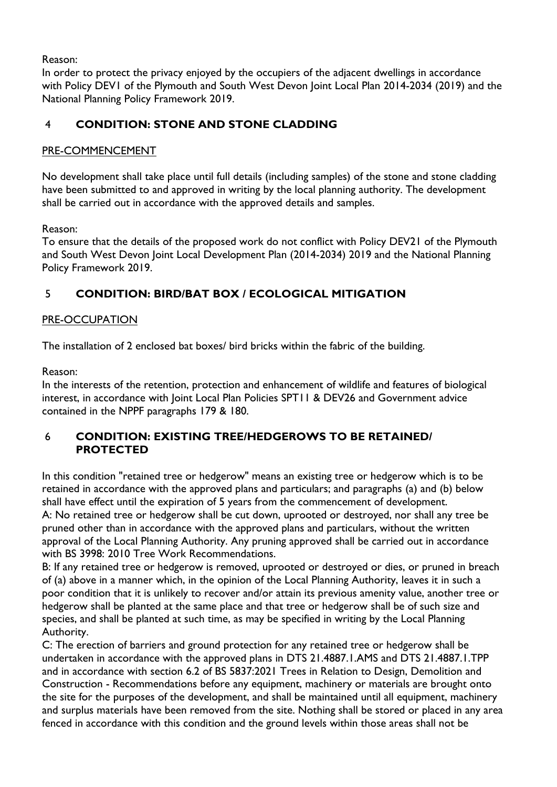Reason:

In order to protect the privacy enjoyed by the occupiers of the adjacent dwellings in accordance with Policy DEV1 of the Plymouth and South West Devon Joint Local Plan 2014-2034 (2019) and the National Planning Policy Framework 2019.

## 4 **CONDITION: STONE AND STONE CLADDING**

#### PRE-COMMENCEMENT

No development shall take place until full details (including samples) of the stone and stone cladding have been submitted to and approved in writing by the local planning authority. The development shall be carried out in accordance with the approved details and samples.

Reason:

To ensure that the details of the proposed work do not conflict with Policy DEV21 of the Plymouth and South West Devon Joint Local Development Plan (2014-2034) 2019 and the National Planning Policy Framework 2019.

# 5 **CONDITION: BIRD/BAT BOX / ECOLOGICAL MITIGATION**

#### PRE-OCCUPATION

The installation of 2 enclosed bat boxes/ bird bricks within the fabric of the building.

Reason:

In the interests of the retention, protection and enhancement of wildlife and features of biological interest, in accordance with Joint Local Plan Policies SPT11 & DEV26 and Government advice contained in the NPPF paragraphs 179 & 180.

#### 6 **CONDITION: EXISTING TREE/HEDGEROWS TO BE RETAINED/ PROTECTED**

In this condition "retained tree or hedgerow" means an existing tree or hedgerow which is to be retained in accordance with the approved plans and particulars; and paragraphs (a) and (b) below shall have effect until the expiration of 5 years from the commencement of development. A: No retained tree or hedgerow shall be cut down, uprooted or destroyed, nor shall any tree be pruned other than in accordance with the approved plans and particulars, without the written approval of the Local Planning Authority. Any pruning approved shall be carried out in accordance with BS 3998: 2010 Tree Work Recommendations.

B: If any retained tree or hedgerow is removed, uprooted or destroyed or dies, or pruned in breach of (a) above in a manner which, in the opinion of the Local Planning Authority, leaves it in such a poor condition that it is unlikely to recover and/or attain its previous amenity value, another tree or hedgerow shall be planted at the same place and that tree or hedgerow shall be of such size and species, and shall be planted at such time, as may be specified in writing by the Local Planning Authority.

C: The erection of barriers and ground protection for any retained tree or hedgerow shall be undertaken in accordance with the approved plans in DTS 21.4887.1.AMS and DTS 21.4887.1.TPP and in accordance with section 6.2 of BS 5837:2021 Trees in Relation to Design, Demolition and Construction - Recommendations before any equipment, machinery or materials are brought onto the site for the purposes of the development, and shall be maintained until all equipment, machinery and surplus materials have been removed from the site. Nothing shall be stored or placed in any area fenced in accordance with this condition and the ground levels within those areas shall not be